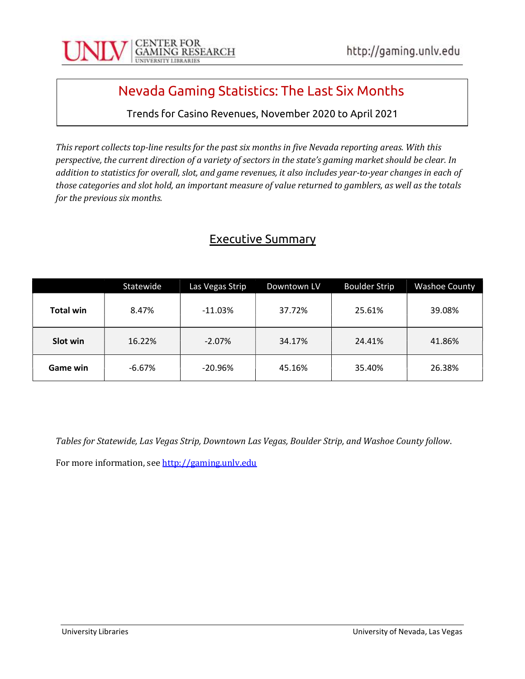

# Nevada Gaming Statistics: The Last Six Months

Trends for Casino Revenues, November 2020 to April 2021

This report collects top-line results for the past six months in five Nevada reporting areas. With this perspective, the current direction of a variety of sectors in the state's gaming market should be clear. In addition to statistics for overall, slot, and game revenues, it also includes year-to-year changes in each of those categories and slot hold, an important measure of value returned to gamblers, as well as the totals for the previous six months.

### Executive Summary

|                  | Statewide | Las Vegas Strip | Downtown LV | <b>Boulder Strip</b> | <b>Washoe County</b> |
|------------------|-----------|-----------------|-------------|----------------------|----------------------|
| <b>Total win</b> | 8.47%     | $-11.03%$       | 37.72%      | 25.61%               | 39.08%               |
| Slot win         | 16.22%    | $-2.07%$        | 34.17%      | 24.41%               | 41.86%               |
| Game win         | $-6.67%$  | $-20.96\%$      | 45.16%      | 35.40%               | 26.38%               |

Tables for Statewide, Las Vegas Strip, Downtown Las Vegas, Boulder Strip, and Washoe County follow.

For more information, see http://gaming.unlv.edu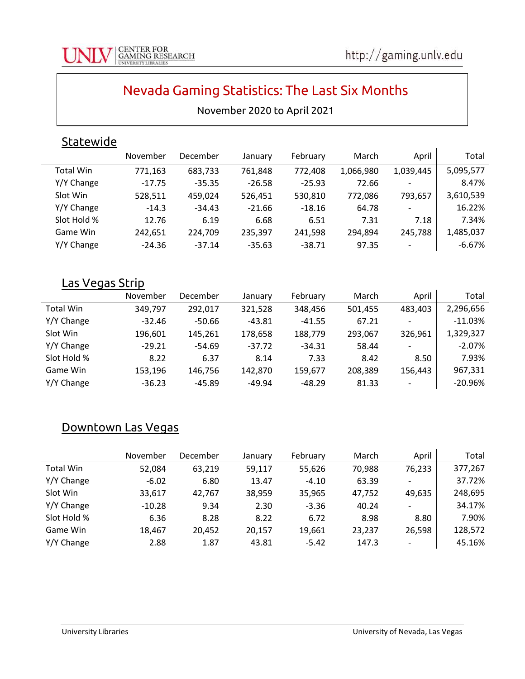$\mathbf{I}$ 

# Nevada Gaming Statistics: The Last Six Months

#### November 2020 to April 2021

## **Statewide**

|                  | November | December | January  | February | March     | April                    | Total     |
|------------------|----------|----------|----------|----------|-----------|--------------------------|-----------|
| <b>Total Win</b> | 771,163  | 683,733  | 761,848  | 772,408  | 1,066,980 | 1,039,445                | 5,095,577 |
| Y/Y Change       | $-17.75$ | $-35.35$ | $-26.58$ | $-25.93$ | 72.66     | $\overline{\phantom{a}}$ | 8.47%     |
| Slot Win         | 528,511  | 459,024  | 526,451  | 530,810  | 772,086   | 793,657                  | 3,610,539 |
| Y/Y Change       | $-14.3$  | $-34.43$ | $-21.66$ | $-18.16$ | 64.78     | $\overline{\phantom{a}}$ | 16.22%    |
| Slot Hold %      | 12.76    | 6.19     | 6.68     | 6.51     | 7.31      | 7.18                     | 7.34%     |
| Game Win         | 242,651  | 224,709  | 235,397  | 241,598  | 294,894   | 245,788                  | 1,485,037 |
| Y/Y Change       | $-24.36$ | $-37.14$ | $-35.63$ | $-38.71$ | 97.35     | $\overline{\phantom{a}}$ | $-6.67%$  |

#### Las Vegas Strip

|             | November | December | January  | February | March   | April                    | Total     |
|-------------|----------|----------|----------|----------|---------|--------------------------|-----------|
| Total Win   | 349.797  | 292.017  | 321.528  | 348,456  | 501,455 | 483,403                  | 2,296,656 |
| Y/Y Change  | $-32.46$ | -50.66   | $-43.81$ | $-41.55$ | 67.21   |                          | $-11.03%$ |
| Slot Win    | 196,601  | 145.261  | 178,658  | 188,779  | 293.067 | 326,961                  | 1,329,327 |
| Y/Y Change  | $-29.21$ | $-54.69$ | $-37.72$ | $-34.31$ | 58.44   | $\overline{\phantom{0}}$ | $-2.07%$  |
| Slot Hold % | 8.22     | 6.37     | 8.14     | 7.33     | 8.42    | 8.50                     | 7.93%     |
| Game Win    | 153,196  | 146.756  | 142,870  | 159,677  | 208,389 | 156,443                  | 967,331   |
| Y/Y Change  | $-36.23$ | -45.89   | $-49.94$ | $-48.29$ | 81.33   | $\overline{\phantom{a}}$ | $-20.96%$ |

#### Downtown Las Vegas

|                  | November | December | January | February | March  | April                    | Total   |
|------------------|----------|----------|---------|----------|--------|--------------------------|---------|
| <b>Total Win</b> | 52,084   | 63.219   | 59,117  | 55,626   | 70,988 | 76,233                   | 377,267 |
| Y/Y Change       | $-6.02$  | 6.80     | 13.47   | $-4.10$  | 63.39  |                          | 37.72%  |
| Slot Win         | 33,617   | 42.767   | 38,959  | 35,965   | 47,752 | 49,635                   | 248,695 |
| Y/Y Change       | $-10.28$ | 9.34     | 2.30    | $-3.36$  | 40.24  | $\overline{\phantom{0}}$ | 34.17%  |
| Slot Hold %      | 6.36     | 8.28     | 8.22    | 6.72     | 8.98   | 8.80                     | 7.90%   |
| Game Win         | 18,467   | 20.452   | 20,157  | 19.661   | 23,237 | 26,598                   | 128,572 |
| Y/Y Change       | 2.88     | 1.87     | 43.81   | $-5.42$  | 147.3  | $\overline{\phantom{0}}$ | 45.16%  |